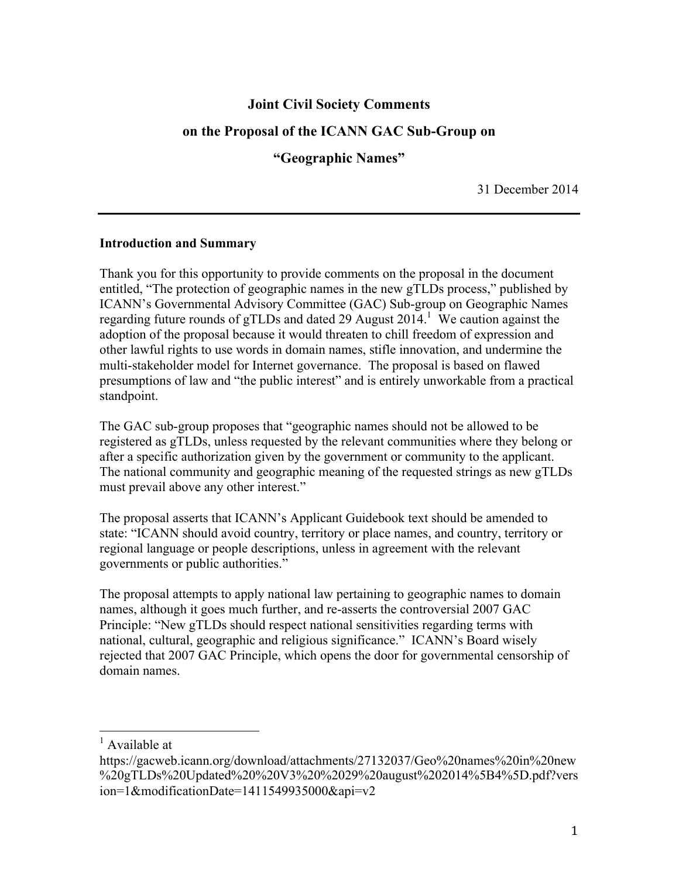# **Joint Civil Society Comments**

## **on the Proposal of the ICANN GAC Sub-Group on**

**"Geographic Names"**

31 December 2014

### **Introduction and Summary**

Thank you for this opportunity to provide comments on the proposal in the document entitled, "The protection of geographic names in the new gTLDs process," published by ICANN's Governmental Advisory Committee (GAC) Sub-group on Geographic Names regarding future rounds of gTLDs and dated 29 August 2014.<sup>1</sup> We caution against the adoption of the proposal because it would threaten to chill freedom of expression and other lawful rights to use words in domain names, stifle innovation, and undermine the multi-stakeholder model for Internet governance. The proposal is based on flawed presumptions of law and "the public interest" and is entirely unworkable from a practical standpoint.

The GAC sub-group proposes that "geographic names should not be allowed to be registered as gTLDs, unless requested by the relevant communities where they belong or after a specific authorization given by the government or community to the applicant. The national community and geographic meaning of the requested strings as new gTLDs must prevail above any other interest."

The proposal asserts that ICANN's Applicant Guidebook text should be amended to state: "ICANN should avoid country, territory or place names, and country, territory or regional language or people descriptions, unless in agreement with the relevant governments or public authorities."

The proposal attempts to apply national law pertaining to geographic names to domain names, although it goes much further, and re-asserts the controversial 2007 GAC Principle: "New gTLDs should respect national sensitivities regarding terms with national, cultural, geographic and religious significance." ICANN's Board wisely rejected that 2007 GAC Principle, which opens the door for governmental censorship of domain names.

 $<sup>1</sup>$  Available at</sup>

https://gacweb.icann.org/download/attachments/27132037/Geo%20names%20in%20new %20gTLDs%20Updated%20%20V3%20%2029%20august%202014%5B4%5D.pdf?vers ion=1&modificationDate=1411549935000&api=v2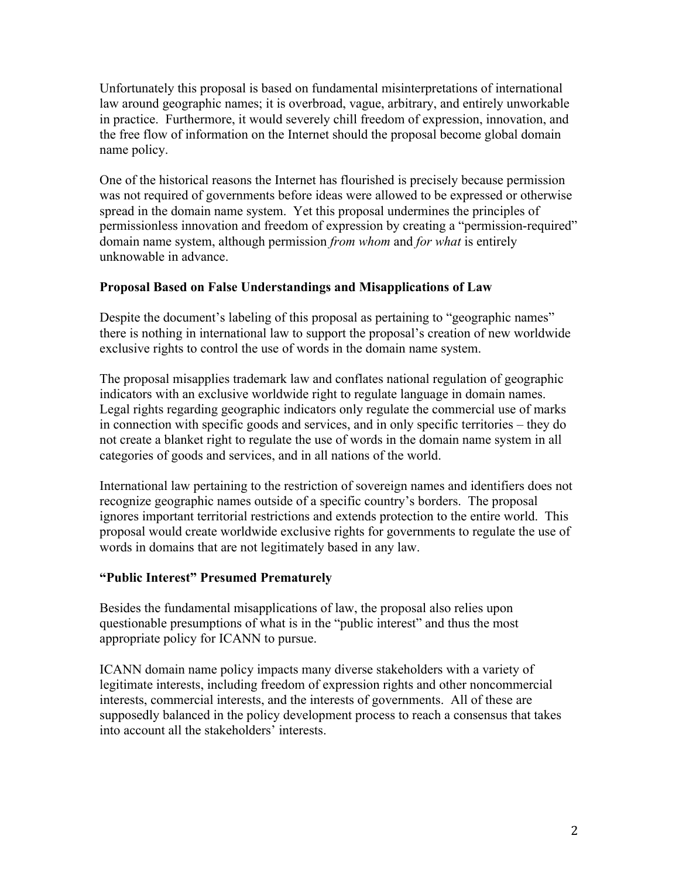Unfortunately this proposal is based on fundamental misinterpretations of international law around geographic names; it is overbroad, vague, arbitrary, and entirely unworkable in practice. Furthermore, it would severely chill freedom of expression, innovation, and the free flow of information on the Internet should the proposal become global domain name policy.

One of the historical reasons the Internet has flourished is precisely because permission was not required of governments before ideas were allowed to be expressed or otherwise spread in the domain name system. Yet this proposal undermines the principles of permissionless innovation and freedom of expression by creating a "permission-required" domain name system, although permission *from whom* and *for what* is entirely unknowable in advance.

## **Proposal Based on False Understandings and Misapplications of Law**

Despite the document's labeling of this proposal as pertaining to "geographic names" there is nothing in international law to support the proposal's creation of new worldwide exclusive rights to control the use of words in the domain name system.

The proposal misapplies trademark law and conflates national regulation of geographic indicators with an exclusive worldwide right to regulate language in domain names. Legal rights regarding geographic indicators only regulate the commercial use of marks in connection with specific goods and services, and in only specific territories – they do not create a blanket right to regulate the use of words in the domain name system in all categories of goods and services, and in all nations of the world.

International law pertaining to the restriction of sovereign names and identifiers does not recognize geographic names outside of a specific country's borders. The proposal ignores important territorial restrictions and extends protection to the entire world. This proposal would create worldwide exclusive rights for governments to regulate the use of words in domains that are not legitimately based in any law.

## **"Public Interest" Presumed Prematurely**

Besides the fundamental misapplications of law, the proposal also relies upon questionable presumptions of what is in the "public interest" and thus the most appropriate policy for ICANN to pursue.

ICANN domain name policy impacts many diverse stakeholders with a variety of legitimate interests, including freedom of expression rights and other noncommercial interests, commercial interests, and the interests of governments. All of these are supposedly balanced in the policy development process to reach a consensus that takes into account all the stakeholders' interests.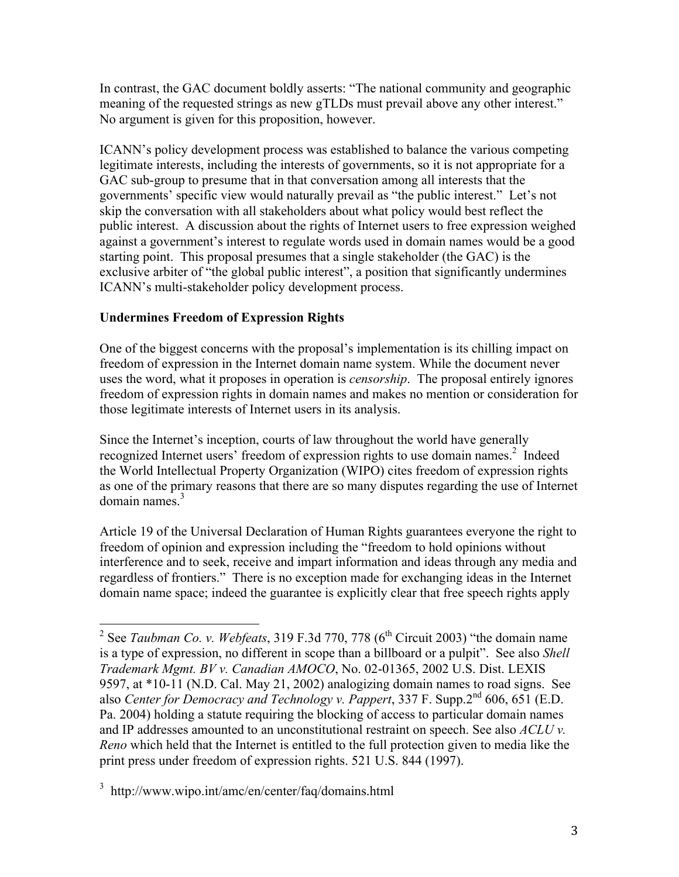In contrast, the GAC document boldly asserts: "The national community and geographic meaning of the requested strings as new gTLDs must prevail above any other interest." No argument is given for this proposition, however.

ICANN's policy development process was established to balance the various competing legitimate interests, including the interests of governments, so it is not appropriate for a GAC sub-group to presume that in that conversation among all interests that the governments' specific view would naturally prevail as "the public interest." Let's not skip the conversation with all stakeholders about what policy would best reflect the public interest. A discussion about the rights of Internet users to free expression weighed against a government's interest to regulate words used in domain names would be a good starting point. This proposal presumes that a single stakeholder (the GAC) is the exclusive arbiter of "the global public interest", a position that significantly undermines ICANN's multi-stakeholder policy development process.

# **Undermines Freedom of Expression Rights**

One of the biggest concerns with the proposal's implementation is its chilling impact on freedom of expression in the Internet domain name system. While the document never uses the word, what it proposes in operation is *censorship*. The proposal entirely ignores freedom of expression rights in domain names and makes no mention or consideration for those legitimate interests of Internet users in its analysis.

Since the Internet's inception, courts of law throughout the world have generally recognized Internet users' freedom of expression rights to use domain names.<sup>2</sup> Indeed the World Intellectual Property Organization (WIPO) cites freedom of expression rights as one of the primary reasons that there are so many disputes regarding the use of Internet  $domain$  names. $3$ 

Article 19 of the Universal Declaration of Human Rights guarantees everyone the right to freedom of opinion and expression including the "freedom to hold opinions without interference and to seek, receive and impart information and ideas through any media and regardless of frontiers." There is no exception made for exchanging ideas in the Internet domain name space; indeed the guarantee is explicitly clear that free speech rights apply

<sup>&</sup>lt;sup>2</sup> See *Taubman Co. v. Webfeats*, 319 F.3d 770, 778 ( $6<sup>th</sup>$  Circuit 2003) "the domain name is a type of expression, no different in scope than a billboard or a pulpit". See also *Shell Trademark Mgmt. BV v. Canadian AMOCO*, No. 02-01365, 2002 U.S. Dist. LEXIS 9597, at \*10-11 (N.D. Cal. May 21, 2002) analogizing domain names to road signs. See also *Center for Democracy and Technology v. Pappert*, 337 F. Supp.2nd 606, 651 (E.D. Pa. 2004) holding a statute requiring the blocking of access to particular domain names and IP addresses amounted to an unconstitutional restraint on speech. See also *ACLU v. Reno* which held that the Internet is entitled to the full protection given to media like the print press under freedom of expression rights. 521 U.S. 844 (1997).

<sup>3</sup> http://www.wipo.int/amc/en/center/faq/domains.html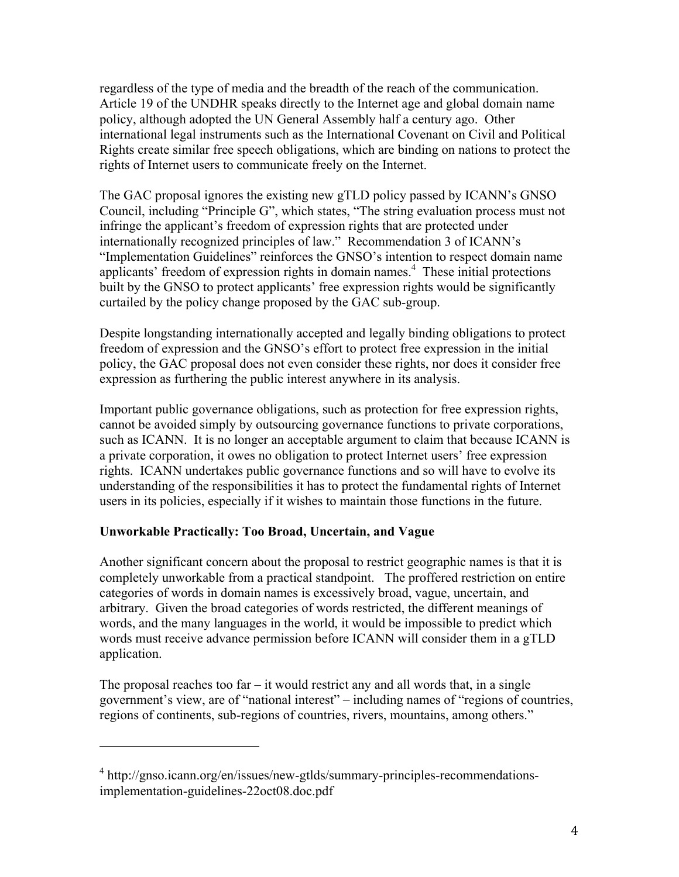regardless of the type of media and the breadth of the reach of the communication. Article 19 of the UNDHR speaks directly to the Internet age and global domain name policy, although adopted the UN General Assembly half a century ago. Other international legal instruments such as the International Covenant on Civil and Political Rights create similar free speech obligations, which are binding on nations to protect the rights of Internet users to communicate freely on the Internet.

The GAC proposal ignores the existing new gTLD policy passed by ICANN's GNSO Council, including "Principle G", which states, "The string evaluation process must not infringe the applicant's freedom of expression rights that are protected under internationally recognized principles of law." Recommendation 3 of ICANN's "Implementation Guidelines" reinforces the GNSO's intention to respect domain name applicants' freedom of expression rights in domain names. <sup>4</sup> These initial protections built by the GNSO to protect applicants' free expression rights would be significantly curtailed by the policy change proposed by the GAC sub-group.

Despite longstanding internationally accepted and legally binding obligations to protect freedom of expression and the GNSO's effort to protect free expression in the initial policy, the GAC proposal does not even consider these rights, nor does it consider free expression as furthering the public interest anywhere in its analysis.

Important public governance obligations, such as protection for free expression rights, cannot be avoided simply by outsourcing governance functions to private corporations, such as ICANN. It is no longer an acceptable argument to claim that because ICANN is a private corporation, it owes no obligation to protect Internet users' free expression rights. ICANN undertakes public governance functions and so will have to evolve its understanding of the responsibilities it has to protect the fundamental rights of Internet users in its policies, especially if it wishes to maintain those functions in the future.

## **Unworkable Practically: Too Broad, Uncertain, and Vague**

 

Another significant concern about the proposal to restrict geographic names is that it is completely unworkable from a practical standpoint. The proffered restriction on entire categories of words in domain names is excessively broad, vague, uncertain, and arbitrary. Given the broad categories of words restricted, the different meanings of words, and the many languages in the world, it would be impossible to predict which words must receive advance permission before ICANN will consider them in a gTLD application.

The proposal reaches too far  $-$  it would restrict any and all words that, in a single government's view, are of "national interest" – including names of "regions of countries, regions of continents, sub-regions of countries, rivers, mountains, among others."

<sup>&</sup>lt;sup>4</sup> http://gnso.icann.org/en/issues/new-gtlds/summary-principles-recommendationsimplementation-guidelines-22oct08.doc.pdf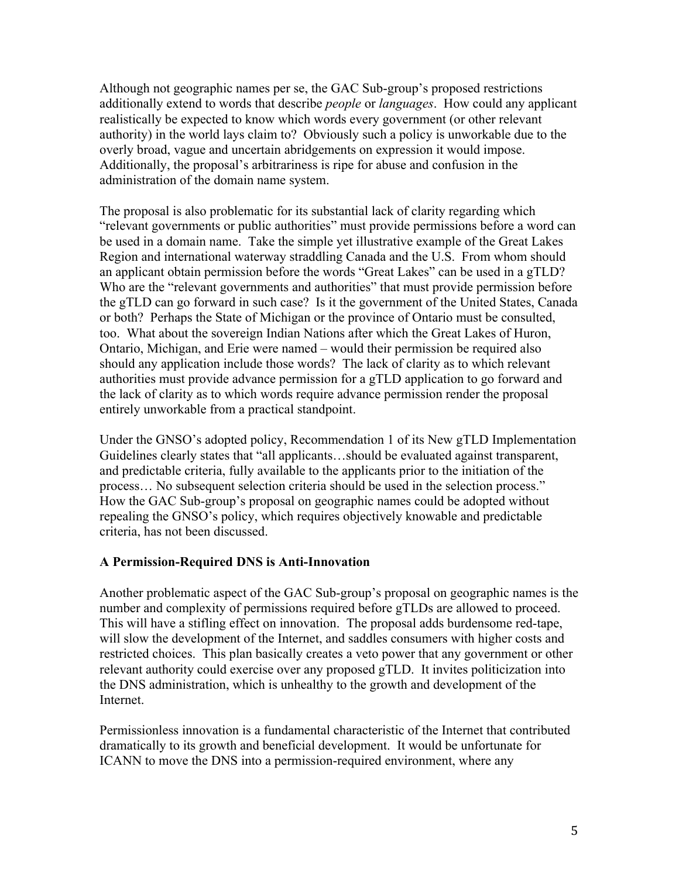Although not geographic names per se, the GAC Sub-group's proposed restrictions additionally extend to words that describe *people* or *languages*. How could any applicant realistically be expected to know which words every government (or other relevant authority) in the world lays claim to? Obviously such a policy is unworkable due to the overly broad, vague and uncertain abridgements on expression it would impose. Additionally, the proposal's arbitrariness is ripe for abuse and confusion in the administration of the domain name system.

The proposal is also problematic for its substantial lack of clarity regarding which "relevant governments or public authorities" must provide permissions before a word can be used in a domain name. Take the simple yet illustrative example of the Great Lakes Region and international waterway straddling Canada and the U.S. From whom should an applicant obtain permission before the words "Great Lakes" can be used in a gTLD? Who are the "relevant governments and authorities" that must provide permission before the gTLD can go forward in such case? Is it the government of the United States, Canada or both? Perhaps the State of Michigan or the province of Ontario must be consulted, too. What about the sovereign Indian Nations after which the Great Lakes of Huron, Ontario, Michigan, and Erie were named – would their permission be required also should any application include those words? The lack of clarity as to which relevant authorities must provide advance permission for a gTLD application to go forward and the lack of clarity as to which words require advance permission render the proposal entirely unworkable from a practical standpoint.

Under the GNSO's adopted policy, Recommendation 1 of its New gTLD Implementation Guidelines clearly states that "all applicants…should be evaluated against transparent, and predictable criteria, fully available to the applicants prior to the initiation of the process… No subsequent selection criteria should be used in the selection process." How the GAC Sub-group's proposal on geographic names could be adopted without repealing the GNSO's policy, which requires objectively knowable and predictable criteria, has not been discussed.

### **A Permission-Required DNS is Anti-Innovation**

Another problematic aspect of the GAC Sub-group's proposal on geographic names is the number and complexity of permissions required before gTLDs are allowed to proceed. This will have a stifling effect on innovation. The proposal adds burdensome red-tape, will slow the development of the Internet, and saddles consumers with higher costs and restricted choices. This plan basically creates a veto power that any government or other relevant authority could exercise over any proposed gTLD. It invites politicization into the DNS administration, which is unhealthy to the growth and development of the Internet.

Permissionless innovation is a fundamental characteristic of the Internet that contributed dramatically to its growth and beneficial development. It would be unfortunate for ICANN to move the DNS into a permission-required environment, where any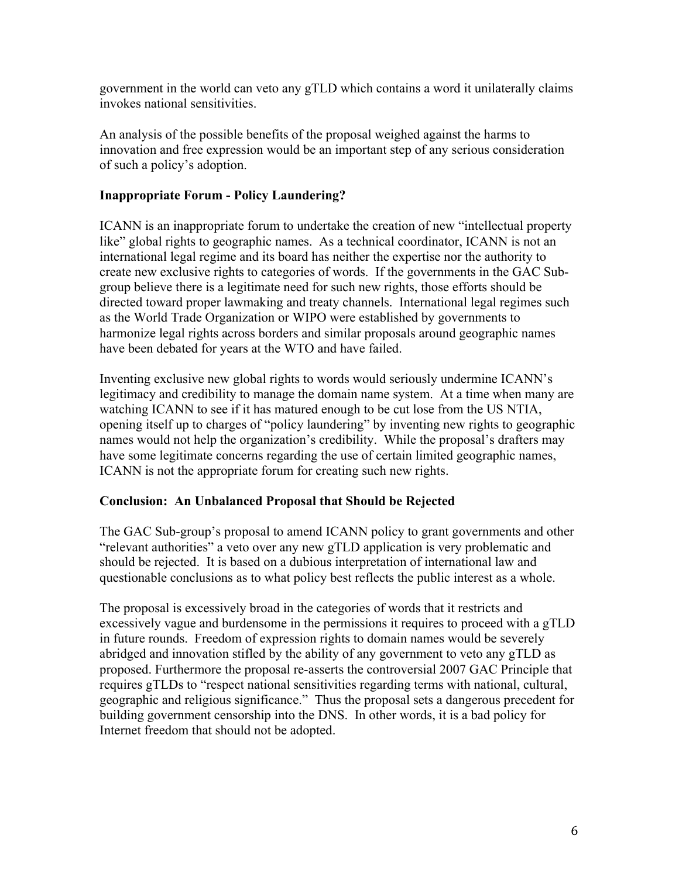government in the world can veto any gTLD which contains a word it unilaterally claims invokes national sensitivities.

An analysis of the possible benefits of the proposal weighed against the harms to innovation and free expression would be an important step of any serious consideration of such a policy's adoption.

## **Inappropriate Forum - Policy Laundering?**

ICANN is an inappropriate forum to undertake the creation of new "intellectual property like" global rights to geographic names. As a technical coordinator, ICANN is not an international legal regime and its board has neither the expertise nor the authority to create new exclusive rights to categories of words. If the governments in the GAC Subgroup believe there is a legitimate need for such new rights, those efforts should be directed toward proper lawmaking and treaty channels. International legal regimes such as the World Trade Organization or WIPO were established by governments to harmonize legal rights across borders and similar proposals around geographic names have been debated for years at the WTO and have failed.

Inventing exclusive new global rights to words would seriously undermine ICANN's legitimacy and credibility to manage the domain name system. At a time when many are watching ICANN to see if it has matured enough to be cut lose from the US NTIA, opening itself up to charges of "policy laundering" by inventing new rights to geographic names would not help the organization's credibility. While the proposal's drafters may have some legitimate concerns regarding the use of certain limited geographic names, ICANN is not the appropriate forum for creating such new rights.

## **Conclusion: An Unbalanced Proposal that Should be Rejected**

The GAC Sub-group's proposal to amend ICANN policy to grant governments and other "relevant authorities" a veto over any new gTLD application is very problematic and should be rejected. It is based on a dubious interpretation of international law and questionable conclusions as to what policy best reflects the public interest as a whole.

The proposal is excessively broad in the categories of words that it restricts and excessively vague and burdensome in the permissions it requires to proceed with a gTLD in future rounds. Freedom of expression rights to domain names would be severely abridged and innovation stifled by the ability of any government to veto any gTLD as proposed. Furthermore the proposal re-asserts the controversial 2007 GAC Principle that requires gTLDs to "respect national sensitivities regarding terms with national, cultural, geographic and religious significance." Thus the proposal sets a dangerous precedent for building government censorship into the DNS. In other words, it is a bad policy for Internet freedom that should not be adopted.